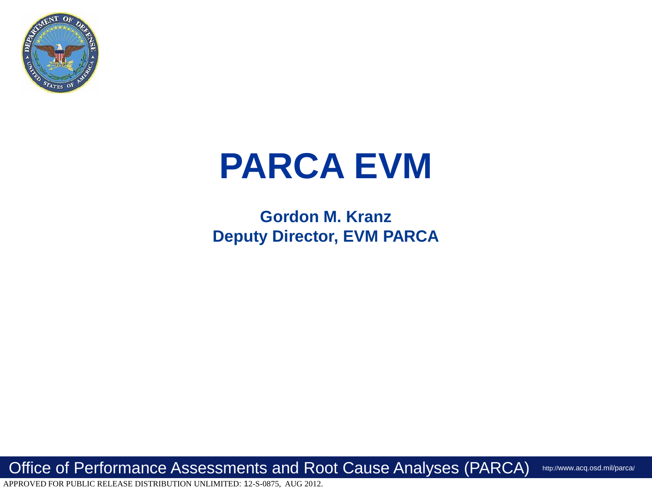

# **PARCA EVM**

**Gordon M. Kranz Deputy Director, EVM PARCA**

Office of Performance Assessments and Root Cause Analyses (PARCA) http://www.acq.osd.mil/parca/

APPROVED FOR PUBLIC RELEASE DISTRIBUTION UNLIMITED: 12-S-0875, AUG 2012.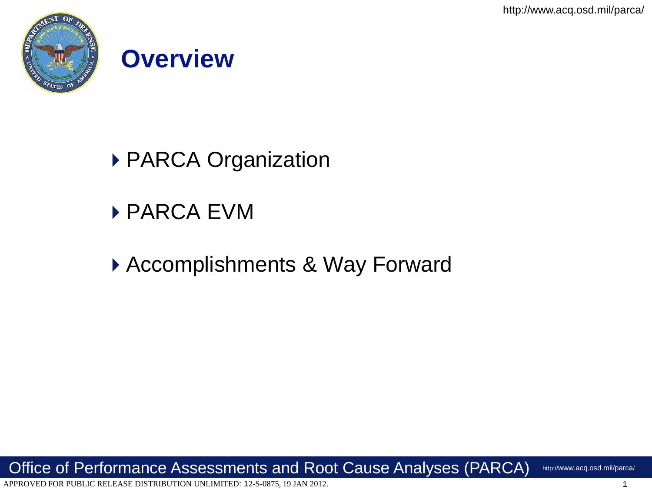http://www.acq.osd.mil/parca/



# **Overview**

- ▶ PARCA Organization
- ▶ PARCA EVM

APPROVED FOR PUBLIC RELEASE DISTRIBUTION UNLIMITED: 12-S-0875, 19 JAN 2012.

Accomplishments & Way Forward

Office of Performance Assessments and Root Cause Analyses (PARCA) http://www.acq.osd.mil/parca/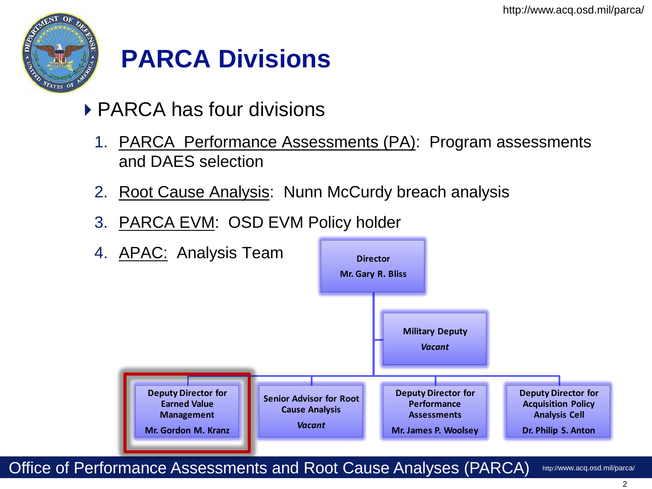

## **PARCA Divisions**

- ▶ PARCA has four divisions
	- 1. PARCA Performance Assessments (PA): Program assessments and DAES selection
	- 2. Root Cause Analysis: Nunn McCurdy breach analysis
	- 3. PARCA EVM: OSD EVM Policy holder



Office of Performance Assessments and Root Cause Analyses (PARCA) http://www.acq.osd.mil/parca/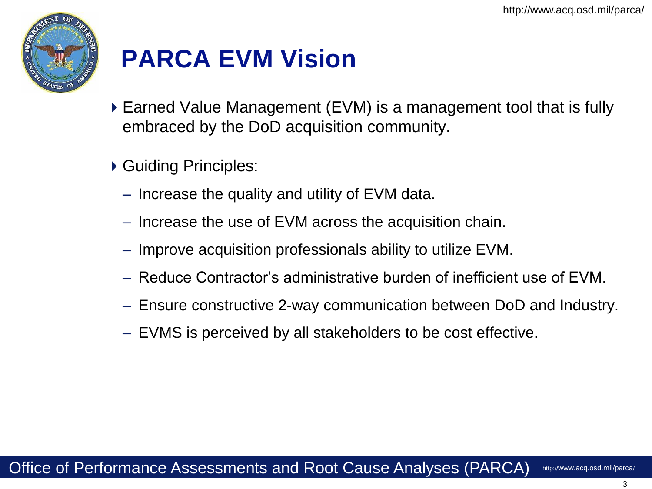

## **PARCA EVM Vision**

- Earned Value Management (EVM) is a management tool that is fully embraced by the DoD acquisition community.
- ▶ Guiding Principles:
	- Increase the quality and utility of EVM data.
	- Increase the use of EVM across the acquisition chain.
	- Improve acquisition professionals ability to utilize EVM.
	- Reduce Contractor's administrative burden of inefficient use of EVM.
	- Ensure constructive 2-way communication between DoD and Industry.
	- EVMS is perceived by all stakeholders to be cost effective.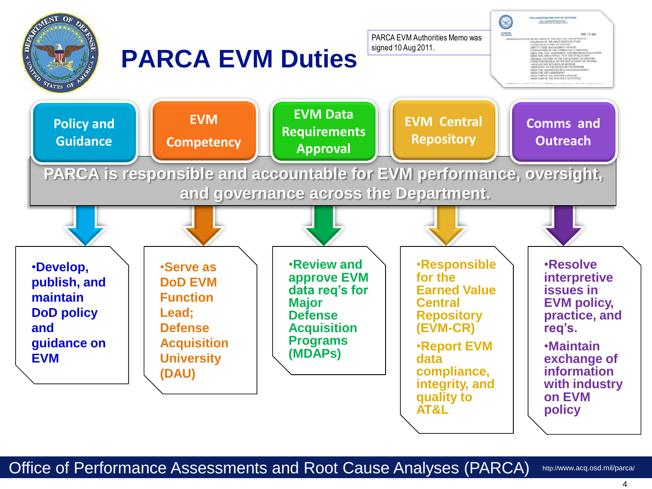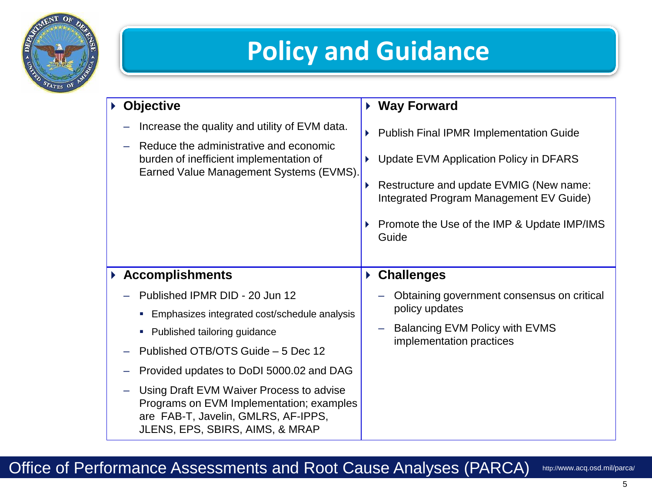

### **Policy and Guidance**

| <b>Objective</b>                                                                                                                                                                                                                                                                                                                                                              | ▶ Way Forward                                                                                                                                                                                                                               |
|-------------------------------------------------------------------------------------------------------------------------------------------------------------------------------------------------------------------------------------------------------------------------------------------------------------------------------------------------------------------------------|---------------------------------------------------------------------------------------------------------------------------------------------------------------------------------------------------------------------------------------------|
| Increase the quality and utility of EVM data.<br>Reduce the administrative and economic<br>burden of inefficient implementation of<br>Earned Value Management Systems (EVMS).                                                                                                                                                                                                 | <b>Publish Final IPMR Implementation Guide</b><br>▶<br>Update EVM Application Policy in DFARS<br>Restructure and update EVMIG (New name:<br>Integrated Program Management EV Guide)<br>Promote the Use of the IMP & Update IMP/IMS<br>Guide |
| ▶ Accomplishments                                                                                                                                                                                                                                                                                                                                                             | ▶ Challenges                                                                                                                                                                                                                                |
| Published IPMR DID - 20 Jun 12<br>Emphasizes integrated cost/schedule analysis<br>ш<br>Published tailoring guidance<br>o.<br>Published OTB/OTS Guide - 5 Dec 12<br>Provided updates to DoDI 5000.02 and DAG<br>Using Draft EVM Waiver Process to advise<br>Programs on EVM Implementation; examples<br>are FAB-T, Javelin, GMLRS, AF-IPPS,<br>JLENS, EPS, SBIRS, AIMS, & MRAP | Obtaining government consensus on critical<br>policy updates<br>Balancing EVM Policy with EVMS<br>implementation practices                                                                                                                  |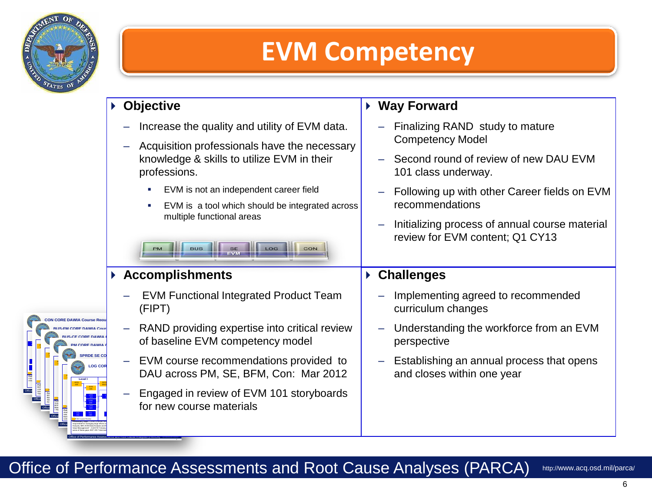

# **EVM Competency EVM Competency**

|                                     | <b>Objective</b>                                                                              | ▶ Way Forward                                                           |
|-------------------------------------|-----------------------------------------------------------------------------------------------|-------------------------------------------------------------------------|
|                                     | Increase the quality and utility of EVM data.<br>Acquisition professionals have the necessary | Finalizing RAND study to mature<br><b>Competency Model</b>              |
|                                     | knowledge & skills to utilize EVM in their<br>professions.                                    | Second round of review of new DAU EVM<br>101 class underway.            |
|                                     | EVM is not an independent career field                                                        | Following up with other Career fields on EVM                            |
|                                     | EVM is a tool which should be integrated across<br>multiple functional areas                  | recommendations                                                         |
|                                     |                                                                                               | Initializing process of annual course material                          |
|                                     | LOG<br><b>CON</b>                                                                             | review for EVM content; Q1 CY13                                         |
|                                     |                                                                                               |                                                                         |
|                                     | ▶ Accomplishments                                                                             | ▶ Challenges                                                            |
|                                     | <b>EVM Functional Integrated Product Team</b><br>(FIPT)                                       | Implementing agreed to recommended<br>curriculum changes                |
| <b>DRE DAWIA</b>                    | RAND providing expertise into critical review<br>of baseline EVM competency model             | Understanding the workforce from an EVM<br>perspective                  |
| <b>SPRDE SE CO</b><br><b>LOG CO</b> | EVM course recommendations provided to<br>DAU across PM, SE, BFM, Con: Mar 2012               | Establishing an annual process that opens<br>and closes within one year |
|                                     | Engaged in review of EVM 101 storyboards<br>for new course materials                          |                                                                         |

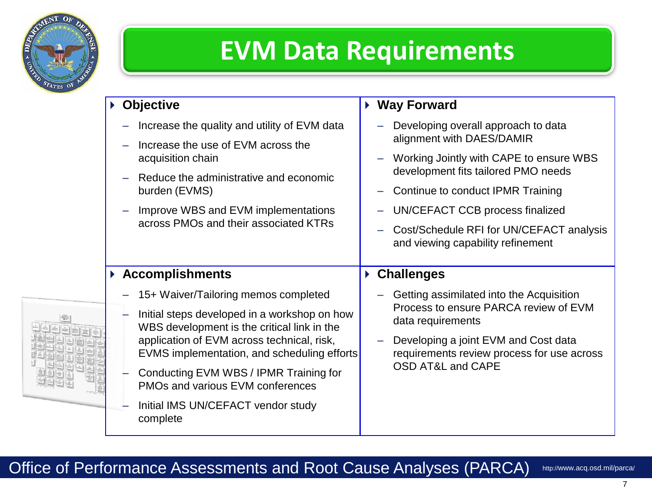

#### **EVM Data Requirements**

| <b>Objective</b>                                                                                                                                                                                                                                                                                                                                                 | <b>Way Forward</b><br>$\blacktriangleright$                                                                                                                                                                                             |
|------------------------------------------------------------------------------------------------------------------------------------------------------------------------------------------------------------------------------------------------------------------------------------------------------------------------------------------------------------------|-----------------------------------------------------------------------------------------------------------------------------------------------------------------------------------------------------------------------------------------|
| Increase the quality and utility of EVM data<br>Increase the use of EVM across the                                                                                                                                                                                                                                                                               | Developing overall approach to data<br>alignment with DAES/DAMIR                                                                                                                                                                        |
| acquisition chain<br>Reduce the administrative and economic<br>burden (EVMS)<br>Improve WBS and EVM implementations<br>across PMOs and their associated KTRs                                                                                                                                                                                                     | Working Jointly with CAPE to ensure WBS<br>development fits tailored PMO needs<br>Continue to conduct IPMR Training<br>UN/CEFACT CCB process finalized<br>Cost/Schedule RFI for UN/CEFACT analysis<br>and viewing capability refinement |
| ▶ Accomplishments                                                                                                                                                                                                                                                                                                                                                | ▶ Challenges                                                                                                                                                                                                                            |
| 15+ Waiver/Tailoring memos completed<br>Initial steps developed in a workshop on how<br>WBS development is the critical link in the<br>application of EVM across technical, risk,<br>EVMS implementation, and scheduling efforts<br>Conducting EVM WBS / IPMR Training for<br>PMOs and various EVM conferences<br>Initial IMS UN/CEFACT vendor study<br>complete | Getting assimilated into the Acquisition<br>Process to ensure PARCA review of EVM<br>data requirements<br>Developing a joint EVM and Cost data<br>requirements review process for use across<br><b>OSD AT&amp;L and CAPE</b>            |

7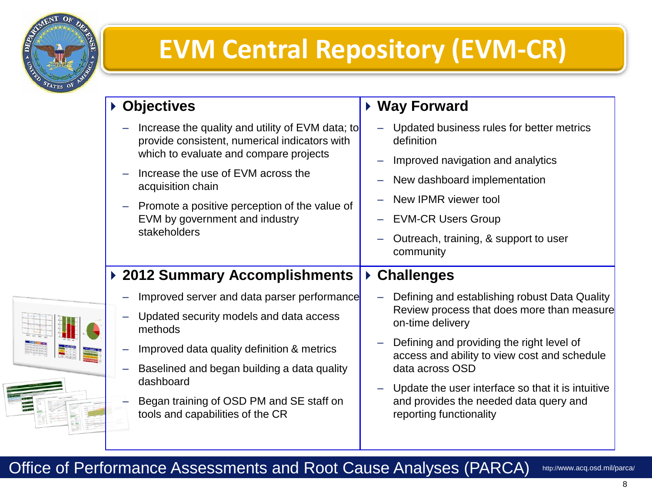

# **EVM Central Repository (EVM-CR)**

| ▶ Objectives                                                                                      | ▶ Way Forward                                                     |
|---------------------------------------------------------------------------------------------------|-------------------------------------------------------------------|
| Increase the quality and utility of EVM data; to<br>provide consistent, numerical indicators with | Updated business rules for better metrics<br>definition           |
| which to evaluate and compare projects                                                            | Improved navigation and analytics                                 |
| Increase the use of EVM across the<br>acquisition chain                                           | New dashboard implementation                                      |
| Promote a positive perception of the value of                                                     | New IPMR viewer tool                                              |
| EVM by government and industry                                                                    | <b>EVM-CR Users Group</b>                                         |
| stakeholders                                                                                      | Outreach, training, & support to user<br>community                |
| ▶ 2012 Summary Accomplishments                                                                    |                                                                   |
|                                                                                                   | ▶ Challenges                                                      |
| Improved server and data parser performance                                                       | Defining and establishing robust Data Quality                     |
| Updated security models and data access<br>methods                                                | Review process that does more than measure<br>on-time delivery    |
| Improved data quality definition & metrics                                                        | Defining and providing the right level of                         |
| Baselined and began building a data quality                                                       | access and ability to view cost and schedule<br>data across OSD   |
| dashboard                                                                                         | Update the user interface so that it is intuitive                 |
| Began training of OSD PM and SE staff on<br>tools and capabilities of the CR                      | and provides the needed data query and<br>reporting functionality |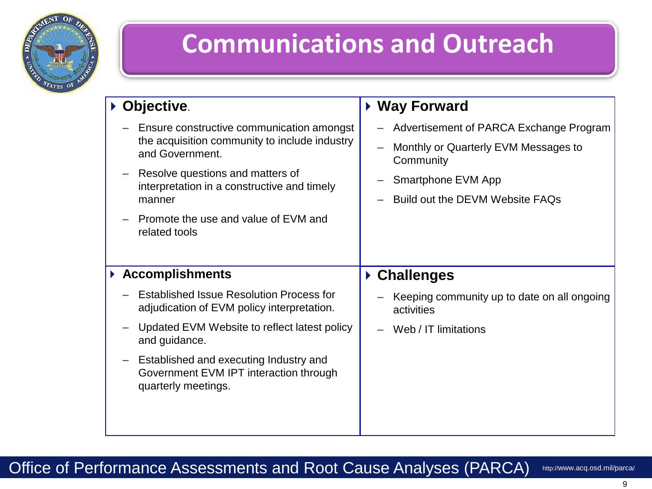

#### **Communications and Outreach**

| ▶ Objective.                                                                                                                                                                                                                                                        | ▶ Way Forward                                                                                                                                         |
|---------------------------------------------------------------------------------------------------------------------------------------------------------------------------------------------------------------------------------------------------------------------|-------------------------------------------------------------------------------------------------------------------------------------------------------|
| Ensure constructive communication amongst<br>the acquisition community to include industry<br>and Government.<br>Resolve questions and matters of<br>interpretation in a constructive and timely<br>manner<br>Promote the use and value of EVM and<br>related tools | Advertisement of PARCA Exchange Program<br>Monthly or Quarterly EVM Messages to<br>Community<br>Smartphone EVM App<br>Build out the DEVM Website FAQs |
| ▶ Accomplishments                                                                                                                                                                                                                                                   | $\triangleright$ Challenges                                                                                                                           |
|                                                                                                                                                                                                                                                                     |                                                                                                                                                       |
| <b>Established Issue Resolution Process for</b><br>adjudication of EVM policy interpretation.                                                                                                                                                                       | Keeping community up to date on all ongoing<br>activities                                                                                             |
| Updated EVM Website to reflect latest policy<br>and guidance.                                                                                                                                                                                                       | Web / IT limitations                                                                                                                                  |